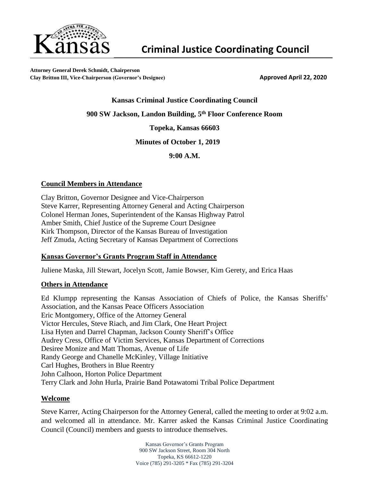

**Attorney General Derek Schmidt, Chairperson Clay Britton III, Vice-Chairperson (Governor's Designee) Approved April 22, 2020**

#### **Kansas Criminal Justice Coordinating Council**

**900 SW Jackson, Landon Building, 5 th Floor Conference Room**

**Topeka, Kansas 66603**

**Minutes of October 1, 2019**

**9:00 A.M.** 

#### **Council Members in Attendance**

Clay Britton, Governor Designee and Vice-Chairperson Steve Karrer, Representing Attorney General and Acting Chairperson Colonel Herman Jones, Superintendent of the Kansas Highway Patrol Amber Smith, Chief Justice of the Supreme Court Designee Kirk Thompson, Director of the Kansas Bureau of Investigation Jeff Zmuda, Acting Secretary of Kansas Department of Corrections

## **Kansas Governor's Grants Program Staff in Attendance**

Juliene Maska, Jill Stewart, Jocelyn Scott, Jamie Bowser, Kim Gerety, and Erica Haas

#### **Others in Attendance**

Ed Klumpp representing the Kansas Association of Chiefs of Police, the Kansas Sheriffs' Association, and the Kansas Peace Officers Association Eric Montgomery, Office of the Attorney General Victor Hercules, Steve Riach, and Jim Clark, One Heart Project Lisa Hyten and Darrel Chapman, Jackson County Sheriff's Office Audrey Cress, Office of Victim Services, Kansas Department of Corrections Desiree Monize and Matt Thomas, Avenue of Life Randy George and Chanelle McKinley, Village Initiative Carl Hughes, Brothers in Blue Reentry John Calhoon, Horton Police Department Terry Clark and John Hurla, Prairie Band Potawatomi Tribal Police Department

#### **Welcome**

Steve Karrer, Acting Chairperson for the Attorney General, called the meeting to order at 9:02 a.m. and welcomed all in attendance. Mr. Karrer asked the Kansas Criminal Justice Coordinating Council (Council) members and guests to introduce themselves.

> Kansas Governor's Grants Program 900 SW Jackson Street, Room 304 North Topeka, KS 66612-1220 Voice (785) 291-3205 \* Fax (785) 291-3204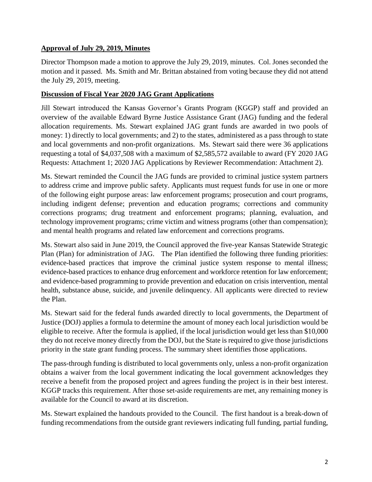# **Approval of July 29, 2019, Minutes**

Director Thompson made a motion to approve the July 29, 2019, minutes. Col. Jones seconded the motion and it passed. Ms. Smith and Mr. Brittan abstained from voting because they did not attend the July 29, 2019, meeting.

## **Discussion of Fiscal Year 2020 JAG Grant Applications**

Jill Stewart introduced the Kansas Governor's Grants Program (KGGP) staff and provided an overview of the available Edward Byrne Justice Assistance Grant (JAG) funding and the federal allocation requirements. Ms. Stewart explained JAG grant funds are awarded in two pools of money: 1) directly to local governments; and 2) to the states, administered as a pass through to state and local governments and non-profit organizations. Ms. Stewart said there were 36 applications requesting a total of \$4,037,508 with a maximum of \$2,585,572 available to award (FY 2020 JAG Requests: Attachment 1; 2020 JAG Applications by Reviewer Recommendation: Attachment 2).

Ms. Stewart reminded the Council the JAG funds are provided to criminal justice system partners to address crime and improve public safety. Applicants must request funds for use in one or more of the following eight purpose areas: law enforcement programs; prosecution and court programs, including indigent defense; prevention and education programs; corrections and community corrections programs; drug treatment and enforcement programs; planning, evaluation, and technology improvement programs; crime victim and witness programs (other than compensation); and mental health programs and related law enforcement and corrections programs.

Ms. Stewart also said in June 2019, the Council approved the five-year Kansas Statewide Strategic Plan (Plan) for administration of JAG. The Plan identified the following three funding priorities: evidence-based practices that improve the criminal justice system response to mental illness; evidence-based practices to enhance drug enforcement and workforce retention for law enforcement; and evidence-based programming to provide prevention and education on crisis intervention, mental health, substance abuse, suicide, and juvenile delinquency. All applicants were directed to review the Plan.

Ms. Stewart said for the federal funds awarded directly to local governments, the Department of Justice (DOJ) applies a formula to determine the amount of money each local jurisdiction would be eligible to receive. After the formula is applied, if the local jurisdiction would get less than \$10,000 they do not receive money directly from the DOJ, but the State is required to give those jurisdictions priority in the state grant funding process. The summary sheet identifies those applications.

The pass-through funding is distributed to local governments only, unless a non-profit organization obtains a waiver from the local government indicating the local government acknowledges they receive a benefit from the proposed project and agrees funding the project is in their best interest. KGGP tracks this requirement. After those set-aside requirements are met, any remaining money is available for the Council to award at its discretion.

Ms. Stewart explained the handouts provided to the Council. The first handout is a break-down of funding recommendations from the outside grant reviewers indicating full funding, partial funding,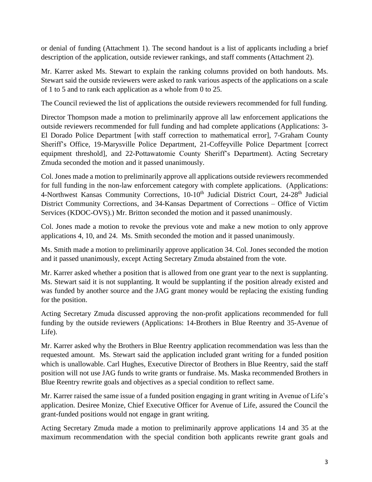or denial of funding (Attachment 1). The second handout is a list of applicants including a brief description of the application, outside reviewer rankings, and staff comments (Attachment 2).

Mr. Karrer asked Ms. Stewart to explain the ranking columns provided on both handouts. Ms. Stewart said the outside reviewers were asked to rank various aspects of the applications on a scale of 1 to 5 and to rank each application as a whole from 0 to 25.

The Council reviewed the list of applications the outside reviewers recommended for full funding.

Director Thompson made a motion to preliminarily approve all law enforcement applications the outside reviewers recommended for full funding and had complete applications (Applications: 3- El Dorado Police Department [with staff correction to mathematical error], 7-Graham County Sheriff's Office, 19-Marysville Police Department, 21-Coffeyville Police Department [correct equipment threshold], and 22-Pottawatomie County Sheriff's Department). Acting Secretary Zmuda seconded the motion and it passed unanimously.

Col. Jones made a motion to preliminarily approve all applications outside reviewers recommended for full funding in the non-law enforcement category with complete applications. (Applications: 4-Northwest Kansas Community Corrections, 10-10<sup>th</sup> Judicial District Court, 24-28<sup>th</sup> Judicial District Community Corrections, and 34-Kansas Department of Corrections – Office of Victim Services (KDOC-OVS).) Mr. Britton seconded the motion and it passed unanimously.

Col. Jones made a motion to revoke the previous vote and make a new motion to only approve applications 4, 10, and 24. Ms. Smith seconded the motion and it passed unanimously.

Ms. Smith made a motion to preliminarily approve application 34. Col. Jones seconded the motion and it passed unanimously, except Acting Secretary Zmuda abstained from the vote.

Mr. Karrer asked whether a position that is allowed from one grant year to the next is supplanting. Ms. Stewart said it is not supplanting. It would be supplanting if the position already existed and was funded by another source and the JAG grant money would be replacing the existing funding for the position.

Acting Secretary Zmuda discussed approving the non-profit applications recommended for full funding by the outside reviewers (Applications: 14-Brothers in Blue Reentry and 35-Avenue of Life).

Mr. Karrer asked why the Brothers in Blue Reentry application recommendation was less than the requested amount. Ms. Stewart said the application included grant writing for a funded position which is unallowable. Carl Hughes, Executive Director of Brothers in Blue Reentry, said the staff position will not use JAG funds to write grants or fundraise. Ms. Maska recommended Brothers in Blue Reentry rewrite goals and objectives as a special condition to reflect same.

Mr. Karrer raised the same issue of a funded position engaging in grant writing in Avenue of Life's application. Desiree Monize, Chief Executive Officer for Avenue of Life, assured the Council the grant-funded positions would not engage in grant writing.

Acting Secretary Zmuda made a motion to preliminarily approve applications 14 and 35 at the maximum recommendation with the special condition both applicants rewrite grant goals and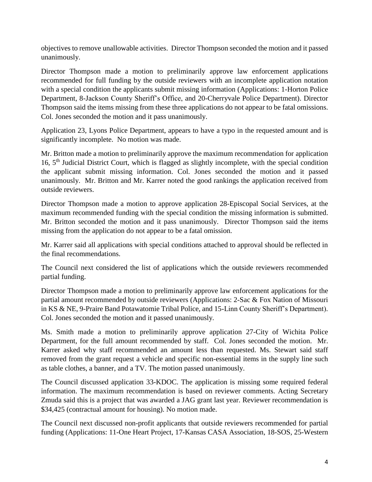objectives to remove unallowable activities. Director Thompson seconded the motion and it passed unanimously.

Director Thompson made a motion to preliminarily approve law enforcement applications recommended for full funding by the outside reviewers with an incomplete application notation with a special condition the applicants submit missing information (Applications: 1-Horton Police Department, 8-Jackson County Sheriff's Office, and 20-Cherryvale Police Department). Director Thompson said the items missing from these three applications do not appear to be fatal omissions. Col. Jones seconded the motion and it pass unanimously.

Application 23, Lyons Police Department, appears to have a typo in the requested amount and is significantly incomplete. No motion was made.

Mr. Britton made a motion to preliminarily approve the maximum recommendation for application 16, 5th Judicial District Court, which is flagged as slightly incomplete, with the special condition the applicant submit missing information. Col. Jones seconded the motion and it passed unanimously. Mr. Britton and Mr. Karrer noted the good rankings the application received from outside reviewers.

Director Thompson made a motion to approve application 28-Episcopal Social Services, at the maximum recommended funding with the special condition the missing information is submitted. Mr. Britton seconded the motion and it pass unanimously. Director Thompson said the items missing from the application do not appear to be a fatal omission.

Mr. Karrer said all applications with special conditions attached to approval should be reflected in the final recommendations.

The Council next considered the list of applications which the outside reviewers recommended partial funding.

Director Thompson made a motion to preliminarily approve law enforcement applications for the partial amount recommended by outside reviewers (Applications: 2-Sac & Fox Nation of Missouri in KS & NE, 9-Praire Band Potawatomie Tribal Police, and 15-Linn County Sheriff's Department). Col. Jones seconded the motion and it passed unanimously.

Ms. Smith made a motion to preliminarily approve application 27-City of Wichita Police Department, for the full amount recommended by staff. Col. Jones seconded the motion. Mr. Karrer asked why staff recommended an amount less than requested. Ms. Stewart said staff removed from the grant request a vehicle and specific non-essential items in the supply line such as table clothes, a banner, and a TV. The motion passed unanimously.

The Council discussed application 33-KDOC. The application is missing some required federal information. The maximum recommendation is based on reviewer comments. Acting Secretary Zmuda said this is a project that was awarded a JAG grant last year. Reviewer recommendation is \$34,425 (contractual amount for housing). No motion made.

The Council next discussed non-profit applicants that outside reviewers recommended for partial funding (Applications: 11-One Heart Project, 17-Kansas CASA Association, 18-SOS, 25-Western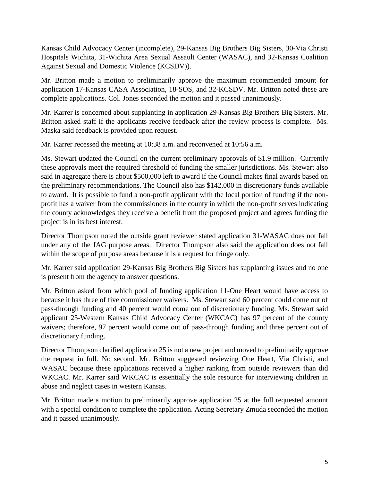Kansas Child Advocacy Center (incomplete), 29-Kansas Big Brothers Big Sisters, 30-Via Christi Hospitals Wichita, 31-Wichita Area Sexual Assault Center (WASAC), and 32-Kansas Coalition Against Sexual and Domestic Violence (KCSDV)).

Mr. Britton made a motion to preliminarily approve the maximum recommended amount for application 17-Kansas CASA Association, 18-SOS, and 32-KCSDV. Mr. Britton noted these are complete applications. Col. Jones seconded the motion and it passed unanimously.

Mr. Karrer is concerned about supplanting in application 29-Kansas Big Brothers Big Sisters. Mr. Britton asked staff if the applicants receive feedback after the review process is complete. Ms. Maska said feedback is provided upon request.

Mr. Karrer recessed the meeting at 10:38 a.m. and reconvened at 10:56 a.m.

Ms. Stewart updated the Council on the current preliminary approvals of \$1.9 million. Currently these approvals meet the required threshold of funding the smaller jurisdictions. Ms. Stewart also said in aggregate there is about \$500,000 left to award if the Council makes final awards based on the preliminary recommendations. The Council also has \$142,000 in discretionary funds available to award. It is possible to fund a non-profit applicant with the local portion of funding if the nonprofit has a waiver from the commissioners in the county in which the non-profit serves indicating the county acknowledges they receive a benefit from the proposed project and agrees funding the project is in its best interest.

Director Thompson noted the outside grant reviewer stated application 31-WASAC does not fall under any of the JAG purpose areas. Director Thompson also said the application does not fall within the scope of purpose areas because it is a request for fringe only.

Mr. Karrer said application 29-Kansas Big Brothers Big Sisters has supplanting issues and no one is present from the agency to answer questions.

Mr. Britton asked from which pool of funding application 11-One Heart would have access to because it has three of five commissioner waivers. Ms. Stewart said 60 percent could come out of pass-through funding and 40 percent would come out of discretionary funding. Ms. Stewart said applicant 25-Western Kansas Child Advocacy Center (WKCAC) has 97 percent of the county waivers; therefore, 97 percent would come out of pass-through funding and three percent out of discretionary funding.

Director Thompson clarified application 25 is not a new project and moved to preliminarily approve the request in full. No second. Mr. Britton suggested reviewing One Heart, Via Christi, and WASAC because these applications received a higher ranking from outside reviewers than did WKCAC. Mr. Karrer said WKCAC is essentially the sole resource for interviewing children in abuse and neglect cases in western Kansas.

Mr. Britton made a motion to preliminarily approve application 25 at the full requested amount with a special condition to complete the application. Acting Secretary Zmuda seconded the motion and it passed unanimously.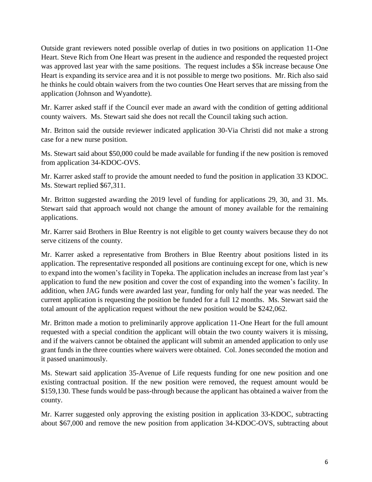Outside grant reviewers noted possible overlap of duties in two positions on application 11-One Heart. Steve Rich from One Heart was present in the audience and responded the requested project was approved last year with the same positions. The request includes a \$5k increase because One Heart is expanding its service area and it is not possible to merge two positions. Mr. Rich also said he thinks he could obtain waivers from the two counties One Heart serves that are missing from the application (Johnson and Wyandotte).

Mr. Karrer asked staff if the Council ever made an award with the condition of getting additional county waivers. Ms. Stewart said she does not recall the Council taking such action.

Mr. Britton said the outside reviewer indicated application 30-Via Christi did not make a strong case for a new nurse position.

Ms. Stewart said about \$50,000 could be made available for funding if the new position is removed from application 34-KDOC-OVS.

Mr. Karrer asked staff to provide the amount needed to fund the position in application 33 KDOC. Ms. Stewart replied \$67,311.

Mr. Britton suggested awarding the 2019 level of funding for applications 29, 30, and 31. Ms. Stewart said that approach would not change the amount of money available for the remaining applications.

Mr. Karrer said Brothers in Blue Reentry is not eligible to get county waivers because they do not serve citizens of the county.

Mr. Karrer asked a representative from Brothers in Blue Reentry about positions listed in its application. The representative responded all positions are continuing except for one, which is new to expand into the women's facility in Topeka. The application includes an increase from last year's application to fund the new position and cover the cost of expanding into the women's facility. In addition, when JAG funds were awarded last year, funding for only half the year was needed. The current application is requesting the position be funded for a full 12 months. Ms. Stewart said the total amount of the application request without the new position would be \$242,062.

Mr. Britton made a motion to preliminarily approve application 11-One Heart for the full amount requested with a special condition the applicant will obtain the two county waivers it is missing, and if the waivers cannot be obtained the applicant will submit an amended application to only use grant funds in the three counties where waivers were obtained. Col. Jones seconded the motion and it passed unanimously.

Ms. Stewart said application 35-Avenue of Life requests funding for one new position and one existing contractual position. If the new position were removed, the request amount would be \$159,130. These funds would be pass-through because the applicant has obtained a waiver from the county.

Mr. Karrer suggested only approving the existing position in application 33-KDOC, subtracting about \$67,000 and remove the new position from application 34-KDOC-OVS, subtracting about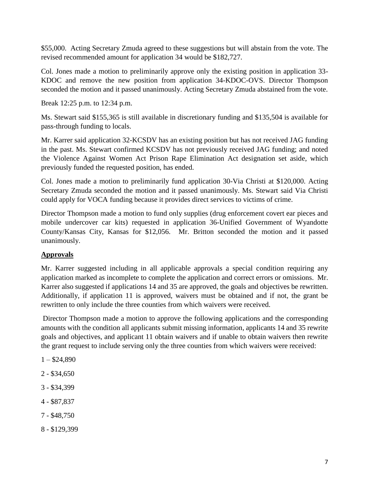\$55,000. Acting Secretary Zmuda agreed to these suggestions but will abstain from the vote. The revised recommended amount for application 34 would be \$182,727.

Col. Jones made a motion to preliminarily approve only the existing position in application 33- KDOC and remove the new position from application 34-KDOC-OVS. Director Thompson seconded the motion and it passed unanimously. Acting Secretary Zmuda abstained from the vote.

Break 12:25 p.m. to 12:34 p.m.

Ms. Stewart said \$155,365 is still available in discretionary funding and \$135,504 is available for pass-through funding to locals.

Mr. Karrer said application 32-KCSDV has an existing position but has not received JAG funding in the past. Ms. Stewart confirmed KCSDV has not previously received JAG funding; and noted the Violence Against Women Act Prison Rape Elimination Act designation set aside, which previously funded the requested position, has ended.

Col. Jones made a motion to preliminarily fund application 30-Via Christi at \$120,000. Acting Secretary Zmuda seconded the motion and it passed unanimously. Ms. Stewart said Via Christi could apply for VOCA funding because it provides direct services to victims of crime.

Director Thompson made a motion to fund only supplies (drug enforcement covert ear pieces and mobile undercover car kits) requested in application 36-Unified Government of Wyandotte County/Kansas City, Kansas for \$12,056. Mr. Britton seconded the motion and it passed unanimously.

# **Approvals**

Mr. Karrer suggested including in all applicable approvals a special condition requiring any application marked as incomplete to complete the application and correct errors or omissions. Mr. Karrer also suggested if applications 14 and 35 are approved, the goals and objectives be rewritten. Additionally, if application 11 is approved, waivers must be obtained and if not, the grant be rewritten to only include the three counties from which waivers were received.

Director Thompson made a motion to approve the following applications and the corresponding amounts with the condition all applicants submit missing information, applicants 14 and 35 rewrite goals and objectives, and applicant 11 obtain waivers and if unable to obtain waivers then rewrite the grant request to include serving only the three counties from which waivers were received:

- $1 $24,890$
- 2 \$34,650
- 3 \$34,399
- 4 \$87,837
- 7 \$48,750
- 8 \$129,399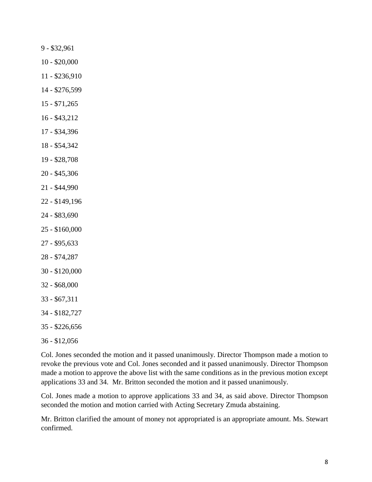9 - \$32,961

- \$20,000
- \$236,910
- \$276,599
- \$71,265
- \$43,212
- \$34,396
- \$54,342
- \$28,708
- \$45,306
- \$44,990
- \$149,196
- \$83,690
- \$160,000
- \$95,633
- \$74,287
- \$120,000
- \$68,000
- \$67,311
- 34 \$182,727
- 35 \$226,656
- 36 \$12,056

Col. Jones seconded the motion and it passed unanimously. Director Thompson made a motion to revoke the previous vote and Col. Jones seconded and it passed unanimously. Director Thompson made a motion to approve the above list with the same conditions as in the previous motion except applications 33 and 34. Mr. Britton seconded the motion and it passed unanimously.

Col. Jones made a motion to approve applications 33 and 34, as said above. Director Thompson seconded the motion and motion carried with Acting Secretary Zmuda abstaining.

Mr. Britton clarified the amount of money not appropriated is an appropriate amount. Ms. Stewart confirmed.